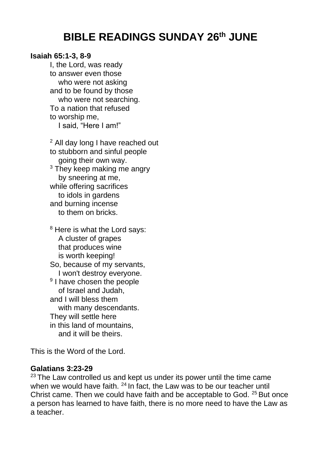## **BIBLE READINGS SUNDAY 26th JUNE**

## **Isaiah 65:1-3, 8-9**

I, the Lord, was ready to answer even those who were not asking and to be found by those who were not searching. To a nation that refused to worship me, I said, "Here I am!"

<sup>2</sup> All day long I have reached out to stubborn and sinful people going their own way. <sup>3</sup> They keep making me angry by sneering at me, while offering sacrifices to idols in gardens and burning incense to them on bricks.

<sup>8</sup> Here is what the Lord says: A cluster of grapes that produces wine is worth keeping! So, because of my servants, I won't destroy everyone. <sup>9</sup> I have chosen the people of Israel and Judah, and I will bless them with many descendants. They will settle here in this land of mountains, and it will be theirs.

This is the Word of the Lord.

## **Galatians 3:23-29**

 $23$  The Law controlled us and kept us under its power until the time came when we would have faith.  $24$  In fact, the Law was to be our teacher until Christ came. Then we could have faith and be acceptable to God. <sup>25</sup> But once a person has learned to have faith, there is no more need to have the Law as a teacher.